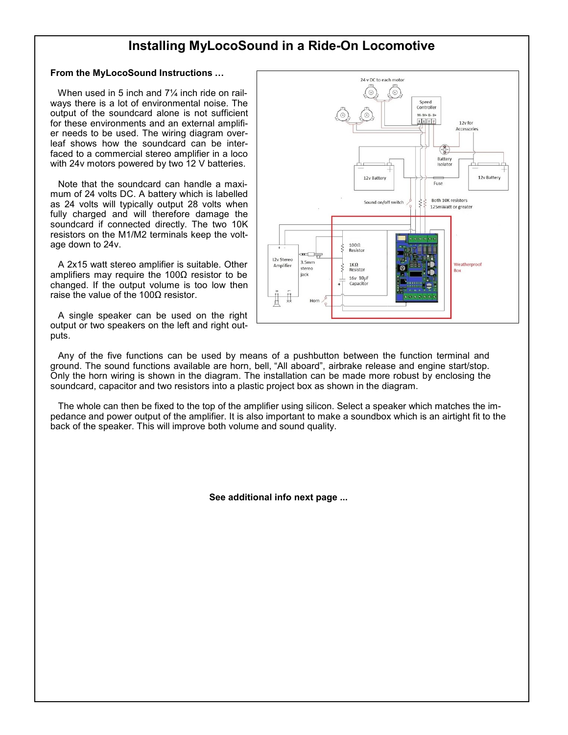## Installing MyLocoSound in a Ride-On Locomotive

### From the MyLocoSound Instructions …

When used in 5 inch and 7<sup>1/4</sup> inch ride on railways there is a lot of environmental noise. The output of the soundcard alone is not sufficient for these environments and an external amplifier needs to be used. The wiring diagram overleaf shows how the soundcard can be interfaced to a commercial stereo amplifier in a loco with 24y motors powered by two 12 V batteries.

 Note that the soundcard can handle a maximum of 24 volts DC. A battery which is labelled as 24 volts will typically output 28 volts when fully charged and will therefore damage the soundcard if connected directly. The two 10K resistors on the M1/M2 terminals keep the voltage down to 24v.

 A 2x15 watt stereo amplifier is suitable. Other amplifiers may require the 100 $Ω$  resistor to be changed. If the output volume is too low then raise the value of the 100 $Ω$  resistor.

 A single speaker can be used on the right output or two speakers on the left and right outputs.



 Any of the five functions can be used by means of a pushbutton between the function terminal and ground. The sound functions available are horn, bell, "All aboard", airbrake release and engine start/stop. Only the horn wiring is shown in the diagram. The installation can be made more robust by enclosing the soundcard, capacitor and two resistors into a plastic project box as shown in the diagram.

 The whole can then be fixed to the top of the amplifier using silicon. Select a speaker which matches the impedance and power output of the amplifier. It is also important to make a soundbox which is an airtight fit to the back of the speaker. This will improve both volume and sound quality.

See additional info next page ...